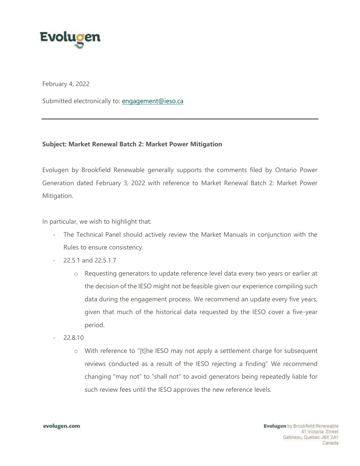

February 4, 2022

Submitted electronically to: engagement@ieso.ca

## **Subject: Market Renewal Batch 2: Market Power Mitigation**

 Evolugen by Brookfield Renewable generally supports the comments filed by Ontario Power Generation dated February 3, 2022 with reference to Market Renewal Batch 2: Market Power Mitigation.

In particular, we wish to highlight that:

- - The Technical Panel should actively review the Market Manuals in conjunction with the Rules to ensure consistency.
- 22.5.1 and 22.5.1.7
	- o Requesting generators to update reference level data every two years or earlier at the decision of the IESO might not be feasible given our experience compiling such data during the engagement process. We recommend an update every five years, given that much of the historical data requested by the IESO cover a five-year period.
- 22.8.10
	- o With reference to "[t]he IESO may not apply a settlement charge for subsequent reviews conducted as a result of the IESO rejecting a finding" We recommend changing "may not" to "shall not" to avoid generators being repeatedly liable for such review fees until the IESO approves the new reference levels.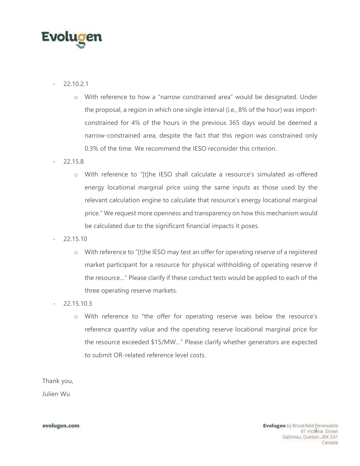

- 22.10.2.1
	- o With reference to how a "narrow constrained area" would be designated. Under the proposal, a region in which one single interval (i.e., 8% of the hour) was import- constrained for 4% of the hours in the previous 365 days would be deemed a narrow-constrained area, despite the fact that this region was constrained only 0.3% of the time. We recommend the IESO reconsider this criterion.
- 22.15.8
	- o With reference to "[t]he IESO shall calculate a resource's simulated as-offered energy locational marginal price using the same inputs as those used by the price." We request more openness and transparency on how this mechanism would relevant calculation engine to calculate that resource's energy locational marginal be calculated due to the significant financial impacts it poses.
- 22.15.10
	- the resource…" Please clarify if these conduct tests would be applied to each of the o With reference to "[t]he IESO may test an offer for operating reserve of a registered market participant for a resource for physical withholding of operating reserve if three operating reserve markets.
- 22.15.10.3
	- o With reference to "the offer for operating reserve was below the resource's reference quantity value and the operating reserve locational marginal price for the resource exceeded \$15/MW…" Please clarify whether generators are expected to submit OR-related reference level costs.

Thank you,

Julien Wu